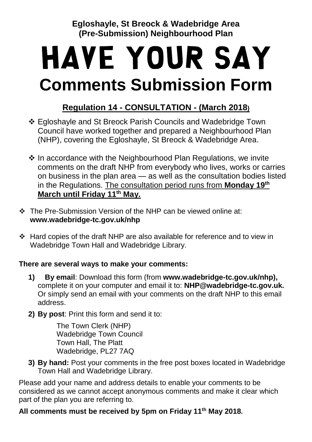**Egloshayle, St Breock & Wadebridge Area (Pre-Submission) Neighbourhood Plan**

# Have Your Say **Comments Submission Form**

## **Regulation 14 - CONSULTATION - (March 2018)**

- ❖ Egloshayle and St Breock Parish Councils and Wadebridge Town Council have worked together and prepared a Neighbourhood Plan (NHP), covering the Egloshayle, St Breock & Wadebridge Area.
- ❖ In accordance with the Neighbourhood Plan Regulations, we invite comments on the draft NHP from everybody who lives, works or carries on business in the plan area — as well as the consultation bodies listed in the Regulations. The consultation period runs from **Monday 19th March until Friday 11th May.**
- ❖ The Pre-Submission Version of the NHP can be viewed online at: **www.wadebridge-tc.gov.uk/nhp**
- ❖ Hard copies of the draft NHP are also available for reference and to view in Wadebridge Town Hall and Wadebridge Library.

#### **There are several ways to make your comments:**

- **1) By email**: Download this form (from **[www.wadebridge-tc.gov.uk/nhp\)](http://www.wadebridge-tc.gov.uk/nhp),**  complete it on your computer and email it to: **[NHP@wadebridge-tc.gov.uk.](mailto:NHP@wadebridge-tc.gov.uk)**  Or simply send an email with your comments on the draft NHP to this email address.
- **2) By post**: Print this form and send it to:

The Town Clerk (NHP) Wadebridge Town Council Town Hall, The Platt Wadebridge, PL27 7AQ

**3) By hand:** Post your comments in the free post boxes located in Wadebridge Town Hall and Wadebridge Library.

Please add your name and address details to enable your comments to be considered as we cannot accept anonymous comments and make it clear which part of the plan you are referring to.

#### **All comments must be received by 5pm on Friday 11th May 2018.**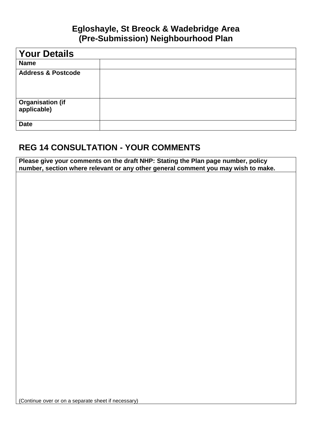#### **Egloshayle, St Breock & Wadebridge Area (Pre-Submission) Neighbourhood Plan**

| <b>Your Details</b>             |  |
|---------------------------------|--|
| <b>Name</b>                     |  |
| <b>Address &amp; Postcode</b>   |  |
| Organisation (if<br>applicable) |  |
| <b>Date</b>                     |  |

### **REG 14 CONSULTATION - YOUR COMMENTS**

**Please give your comments on the draft NHP: Stating the Plan page number, policy number, section where relevant or any other general comment you may wish to make.**

(Continue over or on a separate sheet if necessary)